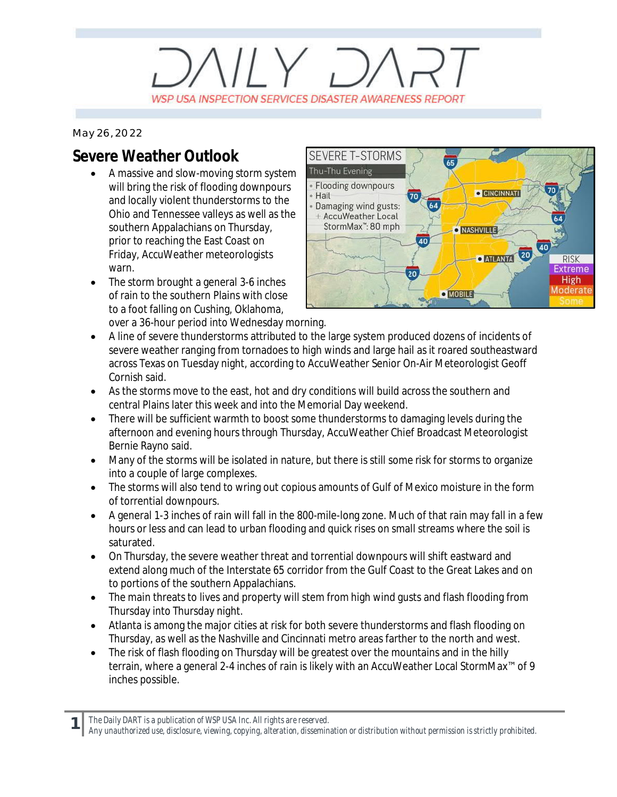# $11 \times 7$ WSP USA INSPECTION SERVICES DISASTER AWARENESS REPORT

*May 26, 2022*

## **Severe Weather Outlook**

- · A massive and slow-moving storm system will bring the risk of flooding downpours and locally violent thunderstorms to the Ohio and Tennessee valleys as well as the southern Appalachians on Thursday, prior to reaching the East Coast on Friday, AccuWeather meteorologists warn.
- The storm brought a general 3-6 inches of rain to the southern Plains with close to a foot falling on Cushing, Oklahoma, over a 36-hour period into Wednesday morning.



- · A line of severe thunderstorms attributed to the large system produced dozens of incidents of severe weather ranging from tornadoes to high winds and large hail as it roared southeastward across Texas on Tuesday night, according to AccuWeather Senior On-Air Meteorologist Geoff Cornish said.
- · As the storms move to the east, hot and dry conditions will build across the southern and central Plains later this week and into the Memorial Day weekend.
- · There will be sufficient warmth to boost some thunderstorms to damaging levels during the afternoon and evening hours through Thursday, AccuWeather Chief Broadcast Meteorologist Bernie Rayno said.
- · Many of the storms will be isolated in nature, but there is still some risk for storms to organize into a couple of large complexes.
- · The storms will also tend to wring out copious amounts of Gulf of Mexico moisture in the form of torrential downpours.
- · A general 1-3 inches of rain will fall in the 800-mile-long zone. Much of that rain may fall in a few hours or less and can lead to urban flooding and quick rises on small streams where the soil is saturated.
- · On Thursday, the severe weather threat and torrential downpours will shift eastward and extend along much of the Interstate 65 corridor from the Gulf Coast to the Great Lakes and on to portions of the southern Appalachians.
- The main threats to lives and property will stem from high wind gusts and flash flooding from Thursday into Thursday night.
- · Atlanta is among the major cities at risk for both severe thunderstorms and flash flooding on Thursday, as well as the Nashville and Cincinnati metro areas farther to the north and west.
- The risk of flash flooding on Thursday will be greatest over the mountains and in the hilly terrain, where a general 2-4 inches of rain is likely with an AccuWeather Local StormMax™ of 9 inches possible.

*The Daily DART is a publication of WSP USA Inc. All rights are reserved.*

**1**

*Any unauthorized use, disclosure, viewing, copying, alteration, dissemination or distribution without permission is strictly prohibited.*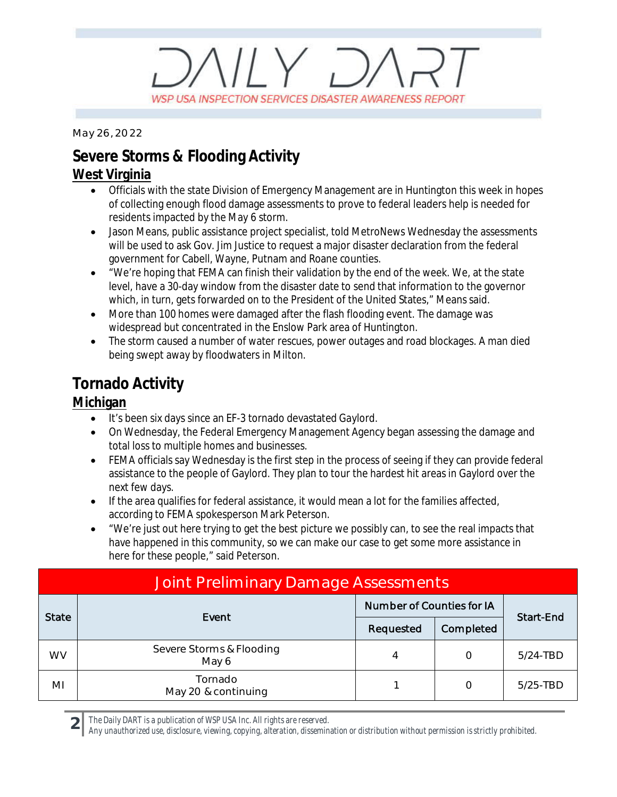# $11Y, 7$ WSP USA INSPECTION SERVICES DISASTER AWARENESS REPORT

*May 26, 2022*

### **Severe Storms & Flooding Activity**

#### **West Virginia**

- · Officials with the state Division of Emergency Management are in Huntington this week in hopes of collecting enough flood damage assessments to prove to federal leaders help is needed for residents impacted by the May 6 storm.
- Jason Means, public assistance project specialist, told MetroNews Wednesday the assessments will be used to ask Gov. Jim Justice to request a major disaster declaration from the federal government for Cabell, Wayne, Putnam and Roane counties.
- · "We're hoping that FEMA can finish their validation by the end of the week. We, at the state level, have a 30-day window from the disaster date to send that information to the governor which, in turn, gets forwarded on to the President of the United States," Means said.
- · More than 100 homes were damaged after the flash flooding event. The damage was widespread but concentrated in the Enslow Park area of Huntington.
- · The storm caused a number of water rescues, power outages and road blockages. A man died being swept away by floodwaters in Milton.

### **Tornado Activity**

#### **Michigan**

**2**

- · It's been six days since an EF-3 tornado devastated Gaylord.
- · On Wednesday, the Federal Emergency Management Agency began assessing the damage and total loss to multiple homes and businesses.
- FEMA officials say Wednesday is the first step in the process of seeing if they can provide federal assistance to the people of Gaylord. They plan to tour the hardest hit areas in Gaylord over the next few days.
- · If the area qualifies for federal assistance, it would mean a lot for the families affected, according to FEMA spokesperson Mark Peterson.
- · "We're just out here trying to get the best picture we possibly can, to see the real impacts that have happened in this community, so we can make our case to get some more assistance in here for these people," said Peterson.

| Joint Preliminary Damage Assessments |                                   |                           |           |             |  |  |  |
|--------------------------------------|-----------------------------------|---------------------------|-----------|-------------|--|--|--|
| <b>State</b>                         | Event                             | Number of Counties for IA |           | Start-End   |  |  |  |
|                                      |                                   | Requested                 | Completed |             |  |  |  |
| <b>WV</b>                            | Severe Storms & Flooding<br>May 6 | 4                         | O         | $5/24-TBD$  |  |  |  |
| ΜI                                   | Tornado<br>May 20 & continuing    |                           | Ο         | $5/25$ -TBD |  |  |  |

*The Daily DART is a publication of WSP USA Inc. All rights are reserved.*

*Any unauthorized use, disclosure, viewing, copying, alteration, dissemination or distribution without permission is strictly prohibited.*